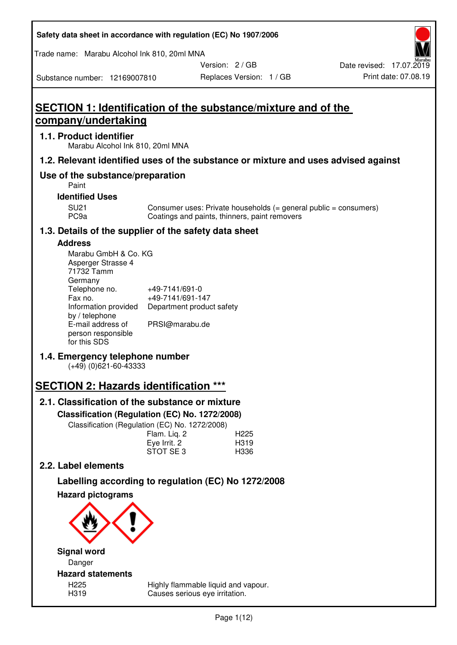| Safety data sheet in accordance with regulation (EC) No 1907/2006 |  |
|-------------------------------------------------------------------|--|
|-------------------------------------------------------------------|--|

Trade name: Marabu Alcohol Ink 810, 20ml MNA

Version: 2 / GB

Replaces Version: 1 / GB Print date: 07.08.19 Date revised: 17.07.2019

Substance number: 12169007810

# **SECTION 1: Identification of the substance/mixture and of the company/undertaking**

## **1.1. Product identifier**

Marabu Alcohol Ink 810, 20ml MNA

## **1.2. Relevant identified uses of the substance or mixture and uses advised against**

## **Use of the substance/preparation**

Paint

#### **Identified Uses**

SU21 Consumer uses: Private households (= general public = consumers)<br>PC9a Coatings and paints, thinners, paint removers Coatings and paints, thinners, paint removers

## **1.3. Details of the supplier of the safety data sheet**

## **Address**

| Marabu GmbH & Co. KG |                           |
|----------------------|---------------------------|
| Asperger Strasse 4   |                           |
| 71732 Tamm           |                           |
| Germany              |                           |
| Telephone no.        | +49-7141/691-0            |
| Fax no.              | +49-7141/691-147          |
| Information provided | Department product safety |
| by / telephone       |                           |
| E-mail address of    | PRSI@marabu.de            |
| person responsible   |                           |
| for this SDS         |                           |

## **1.4. Emergency telephone number**

(+49) (0)621-60-43333

# **SECTION 2: Hazards identification \*\*\***

## **2.1. Classification of the substance or mixture**

**Classification (Regulation (EC) No. 1272/2008)** 

Classification (Regulation (EC) No. 1272/2008)

|              | . |                  |
|--------------|---|------------------|
| Flam. Liq. 2 |   | H <sub>225</sub> |
| Eye Irrit. 2 |   | H319             |
| STOT SE3     |   | H336             |
|              |   |                  |

## **2.2. Label elements**

# **Labelling according to regulation (EC) No 1272/2008**



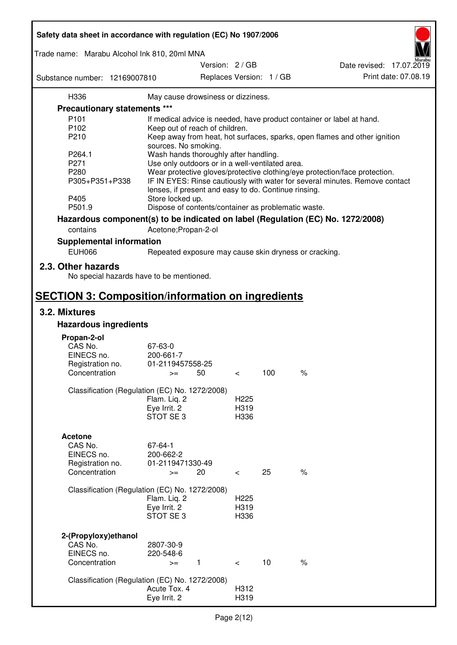| Safety data sheet in accordance with regulation (EC) No 1907/2006 |                                                      |               |                  |                          |                                                                                 |
|-------------------------------------------------------------------|------------------------------------------------------|---------------|------------------|--------------------------|---------------------------------------------------------------------------------|
| Trade name: Marabu Alcohol Ink 810, 20ml MNA                      |                                                      |               |                  |                          |                                                                                 |
|                                                                   |                                                      | Version: 2/GB |                  |                          | Date revised: 17.07.2019                                                        |
| Substance number: 12169007810                                     |                                                      |               |                  | Replaces Version: 1 / GB | Print date: 07.08.19                                                            |
| H336                                                              | May cause drowsiness or dizziness.                   |               |                  |                          |                                                                                 |
| Precautionary statements ***                                      |                                                      |               |                  |                          |                                                                                 |
| P <sub>101</sub>                                                  |                                                      |               |                  |                          | If medical advice is needed, have product container or label at hand.           |
| P <sub>102</sub>                                                  | Keep out of reach of children.                       |               |                  |                          |                                                                                 |
| P210                                                              |                                                      |               |                  |                          | Keep away from heat, hot surfaces, sparks, open flames and other ignition       |
|                                                                   | sources. No smoking.                                 |               |                  |                          |                                                                                 |
| P264.1                                                            | Wash hands thoroughly after handling.                |               |                  |                          |                                                                                 |
| P271                                                              | Use only outdoors or in a well-ventilated area.      |               |                  |                          |                                                                                 |
| P280                                                              |                                                      |               |                  |                          | Wear protective gloves/protective clothing/eye protection/face protection.      |
| P305+P351+P338                                                    | lenses, if present and easy to do. Continue rinsing. |               |                  |                          | IF IN EYES: Rinse cautiously with water for several minutes. Remove contact     |
| P405                                                              | Store locked up.                                     |               |                  |                          |                                                                                 |
| P501.9                                                            | Dispose of contents/container as problematic waste.  |               |                  |                          |                                                                                 |
|                                                                   |                                                      |               |                  |                          | Hazardous component(s) to be indicated on label (Regulation (EC) No. 1272/2008) |
| contains                                                          | Acetone; Propan-2-ol                                 |               |                  |                          |                                                                                 |
| <b>Supplemental information</b>                                   |                                                      |               |                  |                          |                                                                                 |
| <b>EUH066</b>                                                     |                                                      |               |                  |                          | Repeated exposure may cause skin dryness or cracking.                           |
| 2.3. Other hazards<br>No special hazards have to be mentioned.    |                                                      |               |                  |                          |                                                                                 |
| <b>SECTION 3: Composition/information on ingredients</b>          |                                                      |               |                  |                          |                                                                                 |
| 3.2. Mixtures                                                     |                                                      |               |                  |                          |                                                                                 |
| <b>Hazardous ingredients</b>                                      |                                                      |               |                  |                          |                                                                                 |
|                                                                   |                                                      |               |                  |                          |                                                                                 |
| Propan-2-ol                                                       |                                                      |               |                  |                          |                                                                                 |
| CAS No.                                                           | 67-63-0                                              |               |                  |                          |                                                                                 |
| EINECS no.                                                        | 200-661-7                                            |               |                  |                          |                                                                                 |
| Registration no.<br>Concentration                                 | 01-2119457558-25                                     | 50            |                  | 100                      | $\%$                                                                            |
|                                                                   | $>=$                                                 |               | $\,<\,$          |                          |                                                                                 |
| Classification (Regulation (EC) No. 1272/2008)                    |                                                      |               |                  |                          |                                                                                 |
|                                                                   | Flam. Liq. 2                                         |               | H <sub>225</sub> |                          |                                                                                 |
|                                                                   | Eye Irrit. 2                                         |               | H319             |                          |                                                                                 |
|                                                                   | STOT SE <sub>3</sub>                                 |               | H336             |                          |                                                                                 |
|                                                                   |                                                      |               |                  |                          |                                                                                 |
| <b>Acetone</b>                                                    |                                                      |               |                  |                          |                                                                                 |
| CAS No.                                                           | 67-64-1                                              |               |                  |                          |                                                                                 |
| EINECS no.                                                        | 200-662-2                                            |               |                  |                          |                                                                                 |
| Registration no.                                                  | 01-2119471330-49                                     |               |                  |                          |                                                                                 |
| Concentration                                                     | $>=$                                                 | 20            | $\prec$          | 25                       | $\%$                                                                            |
|                                                                   |                                                      |               |                  |                          |                                                                                 |
| Classification (Regulation (EC) No. 1272/2008)                    |                                                      |               |                  |                          |                                                                                 |
|                                                                   | Flam. Liq. 2                                         |               | H <sub>225</sub> |                          |                                                                                 |
|                                                                   | Eye Irrit. 2                                         |               | H319             |                          |                                                                                 |
|                                                                   | STOT SE3                                             |               | H336             |                          |                                                                                 |
|                                                                   |                                                      |               |                  |                          |                                                                                 |
| 2-(Propyloxy) ethanol                                             |                                                      |               |                  |                          |                                                                                 |
| CAS No.                                                           | 2807-30-9                                            |               |                  |                          |                                                                                 |
| EINECS no.<br>Concentration                                       | 220-548-6                                            |               |                  | 10                       | $\%$                                                                            |
|                                                                   | $>=$                                                 | $\mathbf{1}$  | $\prec$          |                          |                                                                                 |
| Classification (Regulation (EC) No. 1272/2008)                    |                                                      |               |                  |                          |                                                                                 |
|                                                                   | Acute Tox. 4                                         |               | H312             |                          |                                                                                 |
|                                                                   | Eye Irrit. 2                                         |               | H319             |                          |                                                                                 |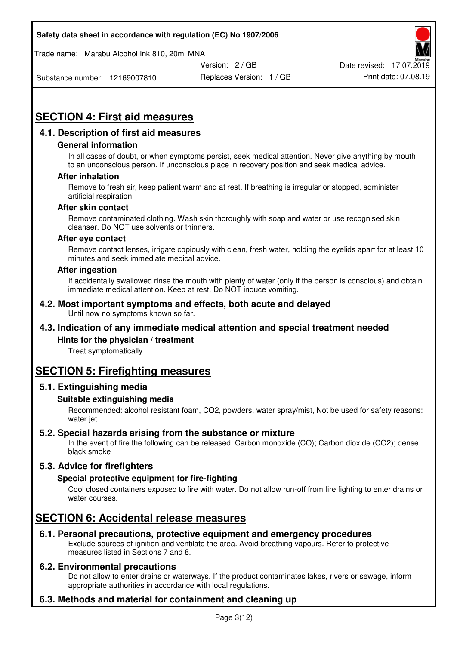Trade name: Marabu Alcohol Ink 810, 20ml MNA



Substance number: 12169007810

Replaces Version: 1 / GB Print date: 07.08.19

# **SECTION 4: First aid measures**

## **4.1. Description of first aid measures**

#### **General information**

In all cases of doubt, or when symptoms persist, seek medical attention. Never give anything by mouth to an unconscious person. If unconscious place in recovery position and seek medical advice.

#### **After inhalation**

Remove to fresh air, keep patient warm and at rest. If breathing is irregular or stopped, administer artificial respiration.

#### **After skin contact**

Remove contaminated clothing. Wash skin thoroughly with soap and water or use recognised skin cleanser. Do NOT use solvents or thinners.

#### **After eye contact**

Remove contact lenses, irrigate copiously with clean, fresh water, holding the eyelids apart for at least 10 minutes and seek immediate medical advice.

#### **After ingestion**

If accidentally swallowed rinse the mouth with plenty of water (only if the person is conscious) and obtain immediate medical attention. Keep at rest. Do NOT induce vomiting.

#### **4.2. Most important symptoms and effects, both acute and delayed**  Until now no symptoms known so far.

## **4.3. Indication of any immediate medical attention and special treatment needed**

#### **Hints for the physician / treatment**

Treat symptomatically

## **SECTION 5: Firefighting measures**

#### **5.1. Extinguishing media**

#### **Suitable extinguishing media**

Recommended: alcohol resistant foam, CO2, powders, water spray/mist, Not be used for safety reasons: water jet

#### **5.2. Special hazards arising from the substance or mixture**

In the event of fire the following can be released: Carbon monoxide (CO); Carbon dioxide (CO2); dense black smoke

## **5.3. Advice for firefighters**

#### **Special protective equipment for fire-fighting**

Cool closed containers exposed to fire with water. Do not allow run-off from fire fighting to enter drains or water courses.

## **SECTION 6: Accidental release measures**

#### **6.1. Personal precautions, protective equipment and emergency procedures**

Exclude sources of ignition and ventilate the area. Avoid breathing vapours. Refer to protective measures listed in Sections 7 and 8.

#### **6.2. Environmental precautions**

Do not allow to enter drains or waterways. If the product contaminates lakes, rivers or sewage, inform appropriate authorities in accordance with local regulations.

## **6.3. Methods and material for containment and cleaning up**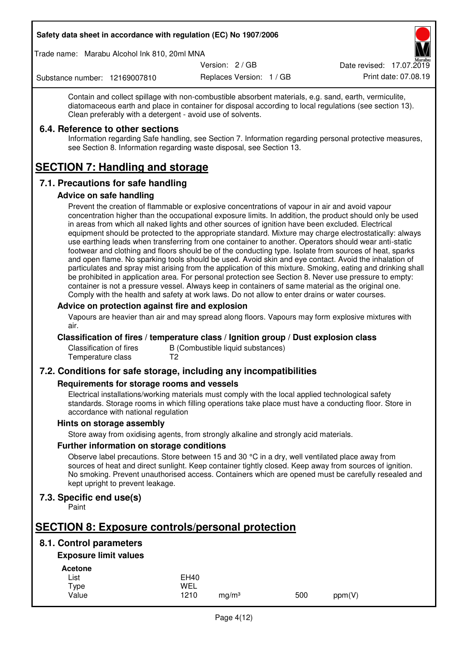Trade name: Marabu Alcohol Ink 810, 20ml MNA

Version: 2 / GB

Replaces Version: 1 / GB Print date: 07.08.19 Date revised: 17.07.2019

Substance number: 12169007810

Contain and collect spillage with non-combustible absorbent materials, e.g. sand, earth, vermiculite,

diatomaceous earth and place in container for disposal according to local regulations (see section 13). Clean preferably with a detergent - avoid use of solvents.

## **6.4. Reference to other sections**

Information regarding Safe handling, see Section 7. Information regarding personal protective measures, see Section 8. Information regarding waste disposal, see Section 13.

# **SECTION 7: Handling and storage**

## **7.1. Precautions for safe handling**

#### **Advice on safe handling**

Prevent the creation of flammable or explosive concentrations of vapour in air and avoid vapour concentration higher than the occupational exposure limits. In addition, the product should only be used in areas from which all naked lights and other sources of ignition have been excluded. Electrical equipment should be protected to the appropriate standard. Mixture may charge electrostatically: always use earthing leads when transferring from one container to another. Operators should wear anti-static footwear and clothing and floors should be of the conducting type. Isolate from sources of heat, sparks and open flame. No sparking tools should be used. Avoid skin and eye contact. Avoid the inhalation of particulates and spray mist arising from the application of this mixture. Smoking, eating and drinking shall be prohibited in application area. For personal protection see Section 8. Never use pressure to empty: container is not a pressure vessel. Always keep in containers of same material as the original one. Comply with the health and safety at work laws. Do not allow to enter drains or water courses.

#### **Advice on protection against fire and explosion**

Vapours are heavier than air and may spread along floors. Vapours may form explosive mixtures with air.

#### **Classification of fires / temperature class / Ignition group / Dust explosion class**

Classification of fires B (Combustible liquid substances)<br>Temperature class T2 Temperature class

## **7.2. Conditions for safe storage, including any incompatibilities**

#### **Requirements for storage rooms and vessels**

Electrical installations/working materials must comply with the local applied technological safety standards. Storage rooms in which filling operations take place must have a conducting floor. Store in accordance with national regulation

#### **Hints on storage assembly**

Store away from oxidising agents, from strongly alkaline and strongly acid materials.

#### **Further information on storage conditions**

Observe label precautions. Store between 15 and 30 °C in a dry, well ventilated place away from sources of heat and direct sunlight. Keep container tightly closed. Keep away from sources of ignition. No smoking. Prevent unauthorised access. Containers which are opened must be carefully resealed and kept upright to prevent leakage.

## **7.3. Specific end use(s)**

Paint

# **SECTION 8: Exposure controls/personal protection**

## **8.1. Control parameters**

## **Exposure limit values**

**Acetone** 

| - - - - - - - - |             |                   |     |        |
|-----------------|-------------|-------------------|-----|--------|
| List            | <b>EH40</b> |                   |     |        |
| Type            | WEL         |                   |     |        |
| Value           | 1210        | ma/m <sup>3</sup> | 500 | ppm(V) |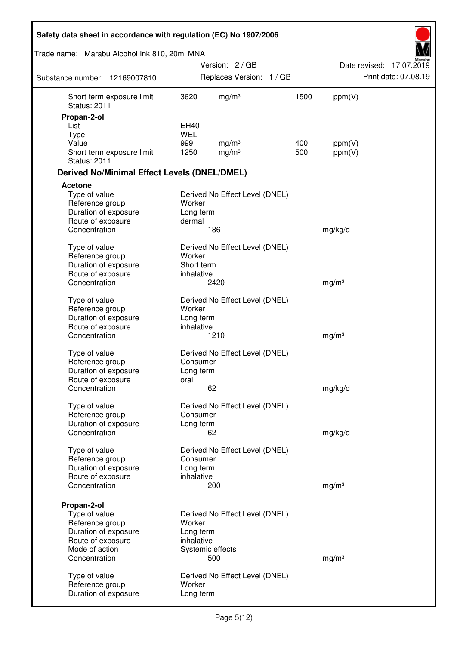| Safety data sheet in accordance with regulation (EC) No 1907/2006 |                          |                                |      |                   |                          |
|-------------------------------------------------------------------|--------------------------|--------------------------------|------|-------------------|--------------------------|
| Trade name: Marabu Alcohol Ink 810, 20ml MNA                      |                          |                                |      |                   |                          |
|                                                                   |                          | Version: 2/GB                  |      |                   | Date revised: 17.07.2019 |
| Substance number: 12169007810                                     |                          | Replaces Version: 1 / GB       |      |                   | Print date: 07.08.19     |
| Short term exposure limit<br><b>Status: 2011</b>                  | 3620                     | mg/m <sup>3</sup>              | 1500 | ppm(V)            |                          |
| Propan-2-ol                                                       |                          |                                |      |                   |                          |
| List                                                              | EH40                     |                                |      |                   |                          |
| <b>Type</b><br>Value                                              | <b>WEL</b><br>999        | mg/m <sup>3</sup>              | 400  | ppm(V)            |                          |
| Short term exposure limit<br><b>Status: 2011</b>                  | 1250                     | mg/m <sup>3</sup>              | 500  | ppm(V)            |                          |
| <b>Derived No/Minimal Effect Levels (DNEL/DMEL)</b>               |                          |                                |      |                   |                          |
| <b>Acetone</b>                                                    |                          |                                |      |                   |                          |
| Type of value<br>Reference group<br>Duration of exposure          | Worker<br>Long term      | Derived No Effect Level (DNEL) |      |                   |                          |
| Route of exposure                                                 | dermal                   |                                |      |                   |                          |
| Concentration                                                     |                          | 186                            |      | mg/kg/d           |                          |
| Type of value<br>Reference group                                  | Worker                   | Derived No Effect Level (DNEL) |      |                   |                          |
| Duration of exposure<br>Route of exposure                         | Short term<br>inhalative |                                |      |                   |                          |
| Concentration                                                     |                          | 2420                           |      | mg/m <sup>3</sup> |                          |
| Type of value<br>Reference group                                  | Worker                   | Derived No Effect Level (DNEL) |      |                   |                          |
| Duration of exposure                                              | Long term                |                                |      |                   |                          |
| Route of exposure                                                 | inhalative               |                                |      |                   |                          |
| Concentration                                                     |                          | 1210                           |      | mg/m <sup>3</sup> |                          |
| Type of value                                                     |                          | Derived No Effect Level (DNEL) |      |                   |                          |
| Reference group                                                   | Consumer                 |                                |      |                   |                          |
| Duration of exposure                                              | Long term                |                                |      |                   |                          |
| Route of exposure<br>Concentration                                | oral                     | 62                             |      | mg/kg/d           |                          |
| Type of value                                                     |                          | Derived No Effect Level (DNEL) |      |                   |                          |
| Reference group                                                   | Consumer                 |                                |      |                   |                          |
| Duration of exposure                                              | Long term                |                                |      |                   |                          |
| Concentration                                                     |                          | 62                             |      | mg/kg/d           |                          |
| Type of value                                                     |                          | Derived No Effect Level (DNEL) |      |                   |                          |
| Reference group                                                   | Consumer                 |                                |      |                   |                          |
| Duration of exposure                                              | Long term                |                                |      |                   |                          |
| Route of exposure<br>Concentration                                | inhalative               | 200                            |      | mg/m <sup>3</sup> |                          |
|                                                                   |                          |                                |      |                   |                          |
| Propan-2-ol                                                       |                          |                                |      |                   |                          |
| Type of value                                                     |                          | Derived No Effect Level (DNEL) |      |                   |                          |
| Reference group<br>Duration of exposure                           | Worker<br>Long term      |                                |      |                   |                          |
| Route of exposure                                                 | inhalative               |                                |      |                   |                          |
| Mode of action                                                    |                          | Systemic effects               |      |                   |                          |
| Concentration                                                     |                          | 500                            |      | mg/m <sup>3</sup> |                          |
| Type of value                                                     |                          | Derived No Effect Level (DNEL) |      |                   |                          |
| Reference group                                                   | Worker                   |                                |      |                   |                          |
| Duration of exposure                                              | Long term                |                                |      |                   |                          |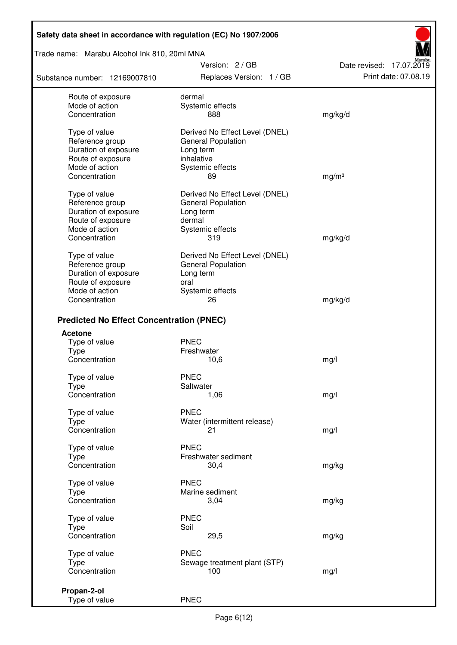Trade name: Marabu Alcohol Ink 810, 20ml MNA

Substance number: 12169007810

Version: 2 / GB Replaces Version: 1 / GB Print date: 07.08.19

Date revised: 17.07.2019

| Route of exposure                               | dermal                         |                   |
|-------------------------------------------------|--------------------------------|-------------------|
| Mode of action                                  | Systemic effects               |                   |
| Concentration                                   | 888                            | mg/kg/d           |
|                                                 |                                |                   |
| Type of value                                   | Derived No Effect Level (DNEL) |                   |
| Reference group                                 | General Population             |                   |
| Duration of exposure                            | Long term                      |                   |
| Route of exposure                               | inhalative                     |                   |
| Mode of action                                  | Systemic effects               |                   |
| Concentration                                   | 89                             | mg/m <sup>3</sup> |
| Type of value                                   | Derived No Effect Level (DNEL) |                   |
| Reference group                                 | General Population             |                   |
| Duration of exposure                            | Long term                      |                   |
| Route of exposure                               | dermal                         |                   |
| Mode of action                                  | Systemic effects               |                   |
| Concentration                                   | 319                            | mg/kg/d           |
|                                                 |                                |                   |
| Type of value                                   | Derived No Effect Level (DNEL) |                   |
| Reference group                                 | <b>General Population</b>      |                   |
| Duration of exposure                            | Long term                      |                   |
| Route of exposure                               | oral                           |                   |
| Mode of action                                  | Systemic effects               |                   |
| Concentration                                   | 26                             | mg/kg/d           |
| <b>Predicted No Effect Concentration (PNEC)</b> |                                |                   |
| <b>Acetone</b>                                  |                                |                   |
| Type of value                                   | <b>PNEC</b>                    |                   |
| <b>Type</b>                                     | Freshwater                     |                   |
| Concentration                                   | 10,6                           | mg/l              |
|                                                 | <b>PNEC</b>                    |                   |
| Type of value<br><b>Type</b>                    | Saltwater                      |                   |
| Concentration                                   | 1,06                           | mg/l              |
|                                                 |                                |                   |
| Type of value                                   | <b>PNEC</b>                    |                   |
| Type                                            | Water (intermittent release)   |                   |
| Concentration                                   | 21                             | mg/l              |
|                                                 | <b>PNEC</b>                    |                   |
| Type of value                                   | Freshwater sediment            |                   |
| <b>Type</b><br>Concentration                    | 30,4                           | mg/kg             |
|                                                 |                                |                   |
| Type of value                                   | <b>PNEC</b>                    |                   |
| Type                                            | Marine sediment                |                   |
| Concentration                                   | 3,04                           | mg/kg             |
| Type of value                                   | <b>PNEC</b>                    |                   |
| <b>Type</b>                                     | Soil                           |                   |
| Concentration                                   | 29,5                           | mg/kg             |
|                                                 |                                |                   |
| Type of value                                   | <b>PNEC</b>                    |                   |
| Type                                            | Sewage treatment plant (STP)   |                   |
| Concentration                                   | 100                            | mg/l              |
| Propan-2-ol                                     |                                |                   |
| Type of value                                   | <b>PNEC</b>                    |                   |
|                                                 |                                |                   |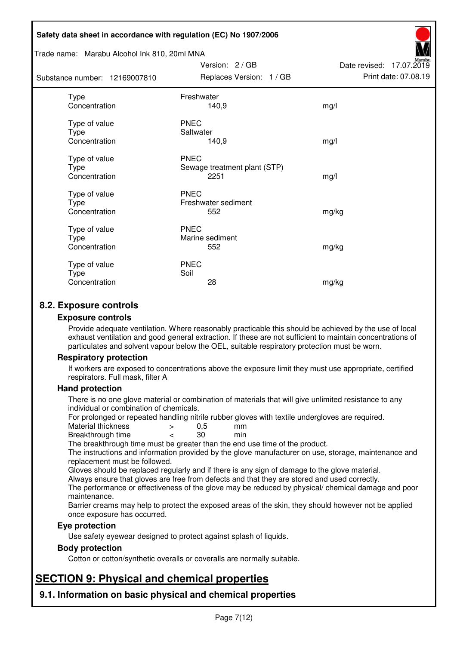#### Trade name: Marabu Alcohol Ink 810, 20ml MNA

| Substance number: 12169007810          | Replaces Version: 1 / GB                            | Print date: 07.08.19 |
|----------------------------------------|-----------------------------------------------------|----------------------|
| Type<br>Concentration                  | Freshwater<br>140,9                                 | mg/l                 |
| Type of value<br>Type<br>Concentration | <b>PNEC</b><br>Saltwater<br>140,9                   | mg/l                 |
| Type of value<br>Type<br>Concentration | <b>PNEC</b><br>Sewage treatment plant (STP)<br>2251 | mg/l                 |
| Type of value<br>Type<br>Concentration | <b>PNEC</b><br>Freshwater sediment<br>552           | mg/kg                |
| Type of value<br>Type<br>Concentration | <b>PNEC</b><br>Marine sediment<br>552               | mg/kg                |
| Type of value<br>Type<br>Concentration | <b>PNEC</b><br>Soil<br>28                           | mg/kg                |

Version: 2 / GB

Date revised: 17.07.2019

## **8.2. Exposure controls**

#### **Exposure controls**

Provide adequate ventilation. Where reasonably practicable this should be achieved by the use of local exhaust ventilation and good general extraction. If these are not sufficient to maintain concentrations of particulates and solvent vapour below the OEL, suitable respiratory protection must be worn.

#### **Respiratory protection**

If workers are exposed to concentrations above the exposure limit they must use appropriate, certified respirators. Full mask, filter A

#### **Hand protection**

There is no one glove material or combination of materials that will give unlimited resistance to any individual or combination of chemicals.

For prolonged or repeated handling nitrile rubber gloves with textile undergloves are required.<br>Material thickness  $\geq 0.5$  mm

- Material thickness  $\begin{array}{ccc} 0.5 \\ -8.5 \end{array}$  Material thickness  $\begin{array}{ccc} 0.5 \\ -8.5 \end{array}$
- Breakthrough time < 30 min

The breakthrough time must be greater than the end use time of the product.

The instructions and information provided by the glove manufacturer on use, storage, maintenance and replacement must be followed.

Gloves should be replaced regularly and if there is any sign of damage to the glove material.

Always ensure that gloves are free from defects and that they are stored and used correctly.

The performance or effectiveness of the glove may be reduced by physical/ chemical damage and poor maintenance.

Barrier creams may help to protect the exposed areas of the skin, they should however not be applied once exposure has occurred.

#### **Eye protection**

Use safety eyewear designed to protect against splash of liquids.

#### **Body protection**

Cotton or cotton/synthetic overalls or coveralls are normally suitable.

# **SECTION 9: Physical and chemical properties**

**9.1. Information on basic physical and chemical properties**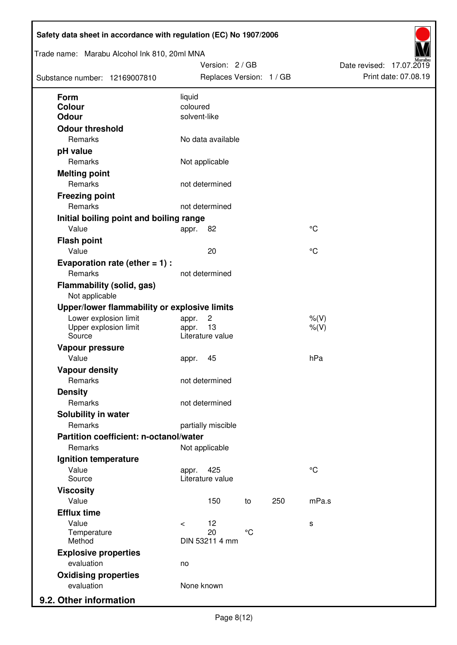| Trade name: Marabu Alcohol Ink 810, 20ml MNA<br>Substance number: 12169007810 | Version: 2 / GB<br>Replaces Version: 1 / GB |     |             | Date revised: 17.07.2019<br>Print date: 07.08.19 |
|-------------------------------------------------------------------------------|---------------------------------------------|-----|-------------|--------------------------------------------------|
| <b>Form</b>                                                                   | liquid                                      |     |             |                                                  |
| <b>Colour</b>                                                                 | coloured                                    |     |             |                                                  |
| <b>Odour</b>                                                                  | solvent-like                                |     |             |                                                  |
| <b>Odour threshold</b>                                                        |                                             |     |             |                                                  |
| Remarks                                                                       | No data available                           |     |             |                                                  |
| pH value                                                                      |                                             |     |             |                                                  |
| Remarks                                                                       | Not applicable                              |     |             |                                                  |
| <b>Melting point</b>                                                          |                                             |     |             |                                                  |
| Remarks                                                                       | not determined                              |     |             |                                                  |
| <b>Freezing point</b>                                                         |                                             |     |             |                                                  |
| Remarks                                                                       | not determined                              |     |             |                                                  |
| Initial boiling point and boiling range                                       |                                             |     |             |                                                  |
| Value                                                                         | 82<br>appr.                                 |     | °C          |                                                  |
| <b>Flash point</b>                                                            |                                             |     |             |                                                  |
| Value                                                                         | 20                                          |     | °C          |                                                  |
| Evaporation rate (ether $= 1$ ) :                                             |                                             |     |             |                                                  |
| Remarks                                                                       | not determined                              |     |             |                                                  |
| <b>Flammability (solid, gas)</b><br>Not applicable                            |                                             |     |             |                                                  |
| Upper/lower flammability or explosive limits                                  |                                             |     |             |                                                  |
| Lower explosion limit                                                         | $\overline{c}$<br>appr.                     |     | $%$ (V)     |                                                  |
| Upper explosion limit<br>Source                                               | 13<br>appr.<br>Literature value             |     | $%$ (V)     |                                                  |
|                                                                               |                                             |     |             |                                                  |
| Vapour pressure<br>Value                                                      | 45                                          |     | hPa         |                                                  |
|                                                                               | appr.                                       |     |             |                                                  |
| <b>Vapour density</b><br>Remarks                                              | not determined                              |     |             |                                                  |
| <b>Density</b>                                                                |                                             |     |             |                                                  |
| Remarks                                                                       | not determined                              |     |             |                                                  |
| Solubility in water                                                           |                                             |     |             |                                                  |
| Remarks                                                                       | partially miscible                          |     |             |                                                  |
| Partition coefficient: n-octanol/water                                        |                                             |     |             |                                                  |
| Remarks                                                                       | Not applicable                              |     |             |                                                  |
| Ignition temperature                                                          |                                             |     |             |                                                  |
| Value                                                                         | 425<br>appr.                                |     | $^{\circ}C$ |                                                  |
| Source                                                                        | Literature value                            |     |             |                                                  |
| <b>Viscosity</b>                                                              |                                             |     |             |                                                  |
| Value                                                                         | 150<br>to                                   | 250 | mPa.s       |                                                  |
| <b>Efflux time</b>                                                            |                                             |     |             |                                                  |
| Value                                                                         | 12<br>$\prec$                               |     | s           |                                                  |
| Temperature                                                                   | 20<br>$^{\circ}$ C                          |     |             |                                                  |
| Method                                                                        | DIN 53211 4 mm                              |     |             |                                                  |
| <b>Explosive properties</b>                                                   |                                             |     |             |                                                  |
| evaluation                                                                    | no                                          |     |             |                                                  |
| <b>Oxidising properties</b><br>evaluation                                     | None known                                  |     |             |                                                  |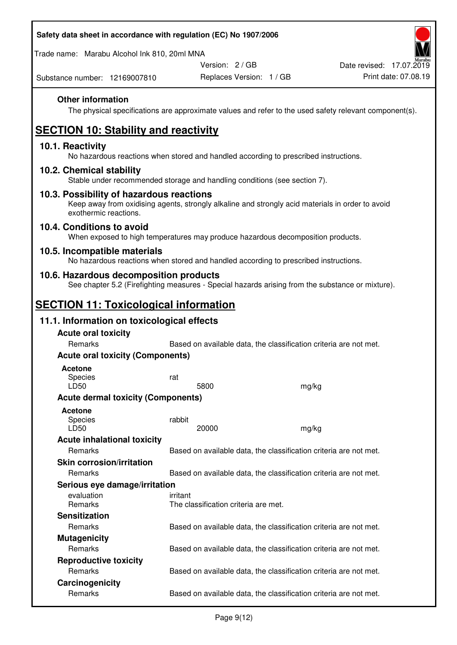Trade name: Marabu Alcohol Ink 810, 20ml MNA

Version: 2 / GB

Replaces Version: 1 / GB Print date: 07.08.19 Date revised: 17.07.2019

Substance number: 12169007810

## **Other information**

The physical specifications are approximate values and refer to the used safety relevant component(s).

# **SECTION 10: Stability and reactivity**

## **10.1. Reactivity**

No hazardous reactions when stored and handled according to prescribed instructions.

## **10.2. Chemical stability**

Stable under recommended storage and handling conditions (see section 7).

## **10.3. Possibility of hazardous reactions**

Keep away from oxidising agents, strongly alkaline and strongly acid materials in order to avoid exothermic reactions.

#### **10.4. Conditions to avoid**

When exposed to high temperatures may produce hazardous decomposition products.

## **10.5. Incompatible materials**

No hazardous reactions when stored and handled according to prescribed instructions.

## **10.6. Hazardous decomposition products**

See chapter 5.2 (Firefighting measures - Special hazards arising from the substance or mixture).

## **SECTION 11: Toxicological information**

## **11.1. Information on toxicological effects**

| <b>Acute oral toxicity</b>                |                                                                   |       |  |  |
|-------------------------------------------|-------------------------------------------------------------------|-------|--|--|
| Remarks                                   | Based on available data, the classification criteria are not met. |       |  |  |
| <b>Acute oral toxicity (Components)</b>   |                                                                   |       |  |  |
| <b>Acetone</b>                            |                                                                   |       |  |  |
| <b>Species</b>                            | rat                                                               |       |  |  |
| LD50                                      | 5800                                                              | mg/kg |  |  |
| <b>Acute dermal toxicity (Components)</b> |                                                                   |       |  |  |
| Acetone                                   |                                                                   |       |  |  |
| Species                                   | rabbit                                                            |       |  |  |
| LD50                                      | 20000                                                             | mg/kg |  |  |
| <b>Acute inhalational toxicity</b>        |                                                                   |       |  |  |
| <b>Remarks</b>                            | Based on available data, the classification criteria are not met. |       |  |  |
| <b>Skin corrosion/irritation</b>          |                                                                   |       |  |  |
| Remarks                                   | Based on available data, the classification criteria are not met. |       |  |  |
| Serious eye damage/irritation             |                                                                   |       |  |  |
| evaluation                                | irritant                                                          |       |  |  |
| <b>Remarks</b>                            | The classification criteria are met.                              |       |  |  |
| <b>Sensitization</b>                      |                                                                   |       |  |  |
| Remarks                                   | Based on available data, the classification criteria are not met. |       |  |  |
| <b>Mutagenicity</b>                       |                                                                   |       |  |  |
| <b>Remarks</b>                            | Based on available data, the classification criteria are not met. |       |  |  |
| <b>Reproductive toxicity</b>              |                                                                   |       |  |  |
| Remarks                                   | Based on available data, the classification criteria are not met. |       |  |  |
| Carcinogenicity                           |                                                                   |       |  |  |
| Remarks                                   | Based on available data, the classification criteria are not met. |       |  |  |
|                                           |                                                                   |       |  |  |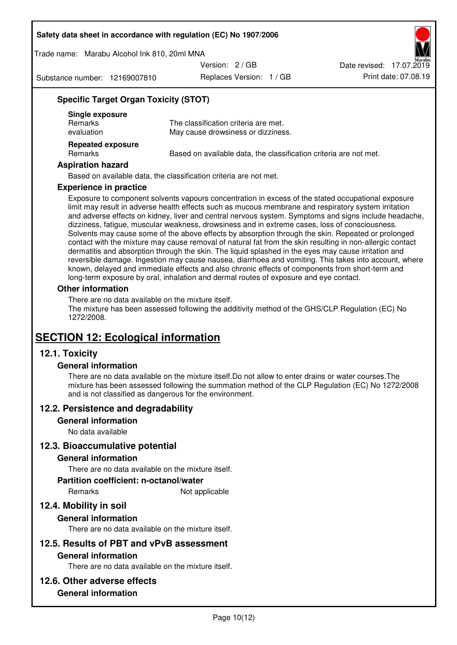Trade name: Marabu Alcohol Ink 810, 20ml MNA

Version: 2 / GB

Substance number: 12169007810

Replaces Version: 1 / GB Print date: 07.08.19 Date revised: 17.07.2019

## **Specific Target Organ Toxicity (STOT)**

| Single exposure<br><b>Remarks</b><br>evaluation | The classification criteria are met.<br>May cause drowsiness or dizziness. |
|-------------------------------------------------|----------------------------------------------------------------------------|
| <b>Repeated exposure</b><br><b>Remarks</b>      | Based on available data, the classification criteria are not met.          |

#### **Aspiration hazard**

Based on available data, the classification criteria are not met.

#### **Experience in practice**

Exposure to component solvents vapours concentration in excess of the stated occupational exposure limit may result in adverse health effects such as mucous membrane and respiratory system irritation and adverse effects on kidney, liver and central nervous system. Symptoms and signs include headache, dizziness, fatigue, muscular weakness, drowsiness and in extreme cases, loss of consciousness. Solvents may cause some of the above effects by absorption through the skin. Repeated or prolonged contact with the mixture may cause removal of natural fat from the skin resulting in non-allergic contact dermatitis and absorption through the skin. The liquid splashed in the eyes may cause irritation and reversible damage. Ingestion may cause nausea, diarrhoea and vomiting. This takes into account, where known, delayed and immediate effects and also chronic effects of components from short-term and long-term exposure by oral, inhalation and dermal routes of exposure and eye contact.

#### **Other information**

There are no data available on the mixture itself. The mixture has been assessed following the additivity method of the GHS/CLP Regulation (EC) No 1272/2008.

## **SECTION 12: Ecological information**

## **12.1. Toxicity**

#### **General information**

There are no data available on the mixture itself.Do not allow to enter drains or water courses.The mixture has been assessed following the summation method of the CLP Regulation (EC) No 1272/2008 and is not classified as dangerous for the environment.

#### **12.2. Persistence and degradability**

#### **General information**

No data available

#### **12.3. Bioaccumulative potential**

#### **General information**

There are no data available on the mixture itself.

#### **Partition coefficient: n-octanol/water**

Remarks Not applicable

## **12.4. Mobility in soil**

#### **General information**

There are no data available on the mixture itself.

#### **12.5. Results of PBT and vPvB assessment**

#### **General information**

There are no data available on the mixture itself.

#### **12.6. Other adverse effects**

## **General information**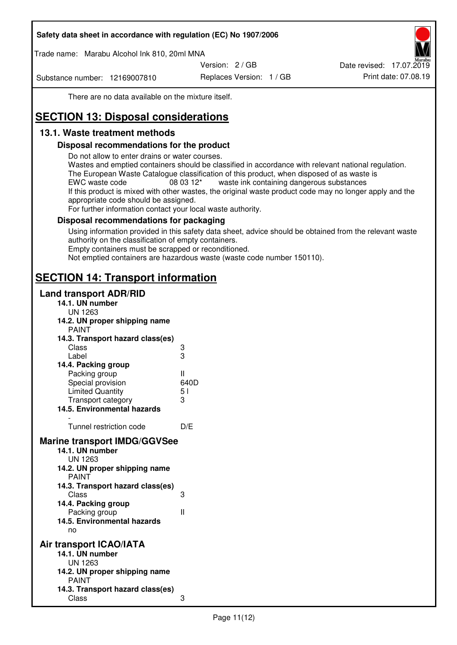Trade name: Marabu Alcohol Ink 810, 20ml MNA

Version: 2 / GB

Substance number: 12169007810

Replaces Version: 1 / GB Print date: 07.08.19 Date revised: 17.07.2019

There are no data available on the mixture itself.

# **SECTION 13: Disposal considerations**

## **13.1. Waste treatment methods**

## **Disposal recommendations for the product**

Do not allow to enter drains or water courses.

Wastes and emptied containers should be classified in accordance with relevant national regulation. The European Waste Catalogue classification of this product, when disposed of as waste is EWC waste code  $08\,03\,12^*$  waste ink containing dangerous substances If this product is mixed with other wastes, the original waste product code may no longer apply and the appropriate code should be assigned.

For further information contact your local waste authority.

## **Disposal recommendations for packaging**

Using information provided in this safety data sheet, advice should be obtained from the relevant waste authority on the classification of empty containers. Empty containers must be scrapped or reconditioned.

Not emptied containers are hazardous waste (waste code number 150110).

## **SECTION 14: Transport information**

## **Land transport ADR/RID**

| 14.1. UN number<br><b>UN 1263</b>                                                                                                                                                                                                            |                   |
|----------------------------------------------------------------------------------------------------------------------------------------------------------------------------------------------------------------------------------------------|-------------------|
| 14.2. UN proper shipping name                                                                                                                                                                                                                |                   |
| <b>PAINT</b>                                                                                                                                                                                                                                 |                   |
| 14.3. Transport hazard class(es)                                                                                                                                                                                                             |                   |
| Class                                                                                                                                                                                                                                        | ვ<br>ვ            |
| Label                                                                                                                                                                                                                                        |                   |
| 14.4. Packing group                                                                                                                                                                                                                          |                   |
| Packing group                                                                                                                                                                                                                                | Ш                 |
| Special provision                                                                                                                                                                                                                            | 640D              |
| <b>Limited Quantity</b>                                                                                                                                                                                                                      | 5 <sub>1</sub>    |
| Transport category                                                                                                                                                                                                                           | 3                 |
| 14.5. Environmental hazards                                                                                                                                                                                                                  |                   |
| Tunnel restriction code                                                                                                                                                                                                                      | D/E               |
| <b>Marine transport IMDG/GGVSee</b><br>14.1. UN number<br>UN 1263<br>14.2. UN proper shipping name<br><b>PAINT</b><br>14.3. Transport hazard class(es)<br>Class<br>14.4. Packing group<br>Packing group<br>14.5. Environmental hazards<br>no | 3<br>$\mathbf{I}$ |
| Air transport ICAO/IATA<br>14.1. UN number<br>UN 1263<br>14.2. UN proper shipping name<br><b>PAINT</b>                                                                                                                                       |                   |
| 14.3. Transport hazard class(es)<br>Class                                                                                                                                                                                                    | 3                 |